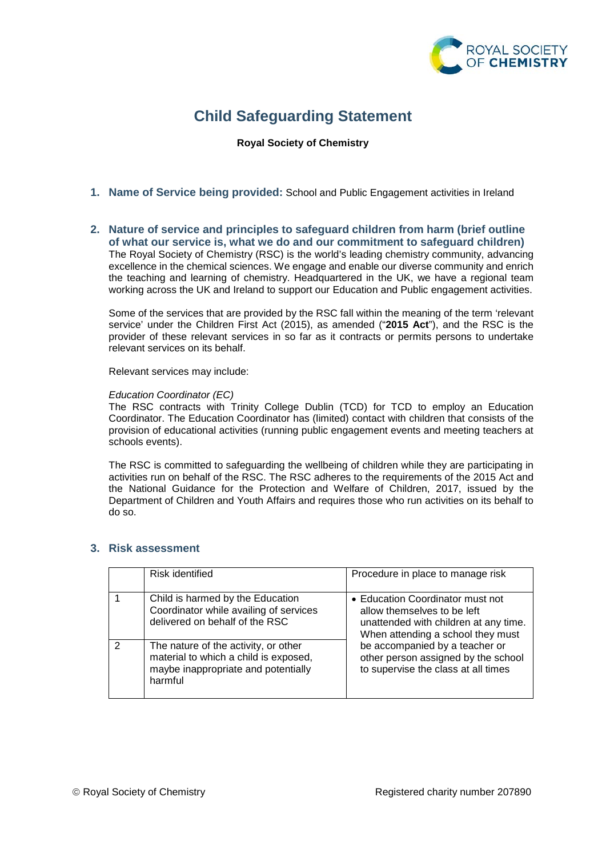

# **Child Safeguarding Statement**

### **Royal Society of Chemistry**

- **1. Name of Service being provided:** School and Public Engagement activities in Ireland
- **2. Nature of service and principles to safeguard children from harm (brief outline of what our service is, what we do and our commitment to safeguard children)** The Royal Society of Chemistry (RSC) is the world's leading chemistry community, advancing excellence in the chemical sciences. We engage and enable our diverse community and enrich the teaching and learning of chemistry. Headquartered in the UK, we have a regional team working across the UK and Ireland to support our Education and Public engagement activities.

Some of the services that are provided by the RSC fall within the meaning of the term 'relevant service' under the Children First Act (2015), as amended ("**2015 Act**"), and the RSC is the provider of these relevant services in so far as it contracts or permits persons to undertake relevant services on its behalf.

Relevant services may include:

#### *Education Coordinator (EC)*

The RSC contracts with Trinity College Dublin (TCD) for TCD to employ an Education Coordinator. The Education Coordinator has (limited) contact with children that consists of the provision of educational activities (running public engagement events and meeting teachers at schools events).

The RSC is committed to safeguarding the wellbeing of children while they are participating in activities run on behalf of the RSC. The RSC adheres to the requirements of the 2015 Act and the National Guidance for the Protection and Welfare of Children, 2017, issued by the Department of Children and Youth Affairs and requires those who run activities on its behalf to do so.

# **3. Risk assessment**

|   | Risk identified                                                                                                                 | Procedure in place to manage risk                                                                                                                                                                                                                             |
|---|---------------------------------------------------------------------------------------------------------------------------------|---------------------------------------------------------------------------------------------------------------------------------------------------------------------------------------------------------------------------------------------------------------|
|   | Child is harmed by the Education<br>Coordinator while availing of services<br>delivered on behalf of the RSC                    | • Education Coordinator must not<br>allow themselves to be left<br>unattended with children at any time.<br>When attending a school they must<br>be accompanied by a teacher or<br>other person assigned by the school<br>to supervise the class at all times |
| 2 | The nature of the activity, or other<br>material to which a child is exposed,<br>maybe inappropriate and potentially<br>harmful |                                                                                                                                                                                                                                                               |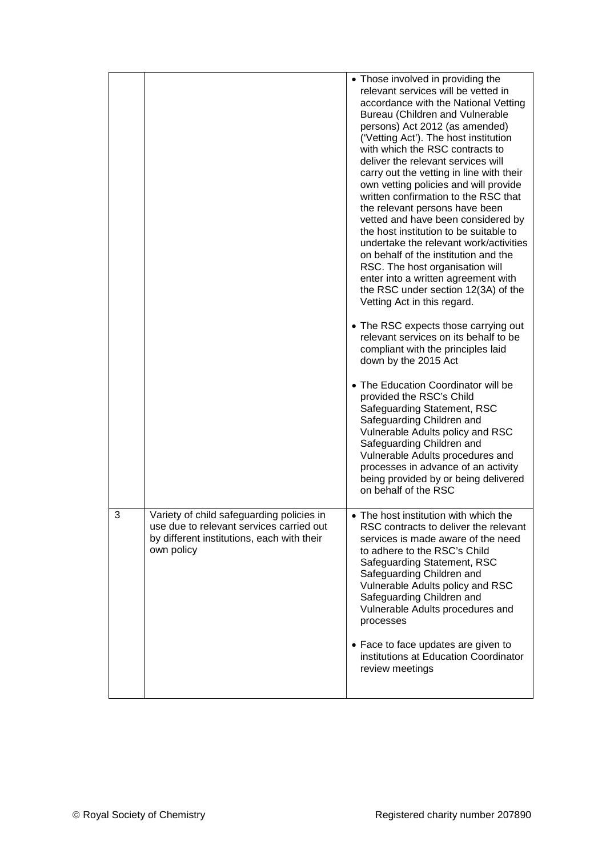|   |                                                                                                                                                   | • Those involved in providing the<br>relevant services will be vetted in<br>accordance with the National Vetting<br><b>Bureau (Children and Vulnerable</b><br>persons) Act 2012 (as amended)<br>('Vetting Act'). The host institution<br>with which the RSC contracts to<br>deliver the relevant services will<br>carry out the vetting in line with their<br>own vetting policies and will provide<br>written confirmation to the RSC that<br>the relevant persons have been<br>vetted and have been considered by<br>the host institution to be suitable to<br>undertake the relevant work/activities<br>on behalf of the institution and the<br>RSC. The host organisation will<br>enter into a written agreement with<br>the RSC under section 12(3A) of the<br>Vetting Act in this regard.<br>• The RSC expects those carrying out<br>relevant services on its behalf to be<br>compliant with the principles laid<br>down by the 2015 Act<br>• The Education Coordinator will be<br>provided the RSC's Child<br>Safeguarding Statement, RSC<br>Safeguarding Children and<br>Vulnerable Adults policy and RSC<br>Safeguarding Children and<br>Vulnerable Adults procedures and<br>processes in advance of an activity<br>being provided by or being delivered<br>on behalf of the RSC |
|---|---------------------------------------------------------------------------------------------------------------------------------------------------|-------------------------------------------------------------------------------------------------------------------------------------------------------------------------------------------------------------------------------------------------------------------------------------------------------------------------------------------------------------------------------------------------------------------------------------------------------------------------------------------------------------------------------------------------------------------------------------------------------------------------------------------------------------------------------------------------------------------------------------------------------------------------------------------------------------------------------------------------------------------------------------------------------------------------------------------------------------------------------------------------------------------------------------------------------------------------------------------------------------------------------------------------------------------------------------------------------------------------------------------------------------------------------------------|
| 3 | Variety of child safeguarding policies in<br>use due to relevant services carried out<br>by different institutions, each with their<br>own policy | • The host institution with which the<br>RSC contracts to deliver the relevant<br>services is made aware of the need<br>to adhere to the RSC's Child<br>Safeguarding Statement, RSC<br>Safeguarding Children and<br>Vulnerable Adults policy and RSC<br>Safeguarding Children and<br>Vulnerable Adults procedures and<br>processes                                                                                                                                                                                                                                                                                                                                                                                                                                                                                                                                                                                                                                                                                                                                                                                                                                                                                                                                                        |
|   |                                                                                                                                                   | • Face to face updates are given to<br>institutions at Education Coordinator<br>review meetings                                                                                                                                                                                                                                                                                                                                                                                                                                                                                                                                                                                                                                                                                                                                                                                                                                                                                                                                                                                                                                                                                                                                                                                           |